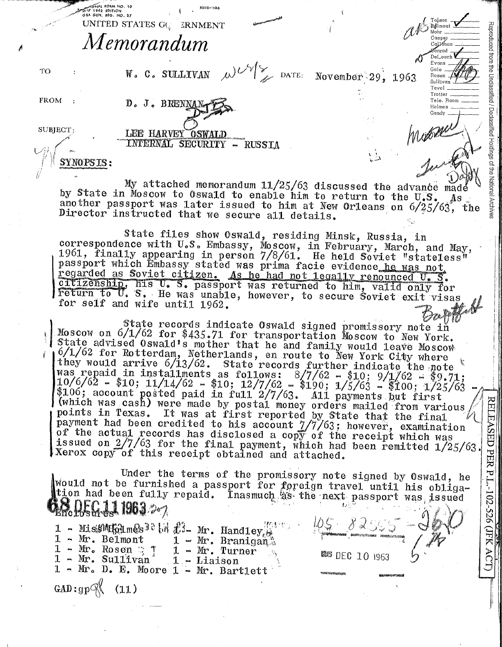|             | ATAN 1962 EDITION<br>GSA GEN, REG. NO. 27<br>UNITED STATES G(<br>ERNMENT                                                                                                                                                                                 |                                                       |                                                                     |
|-------------|----------------------------------------------------------------------------------------------------------------------------------------------------------------------------------------------------------------------------------------------------------|-------------------------------------------------------|---------------------------------------------------------------------|
|             | Memorandum                                                                                                                                                                                                                                               |                                                       | Reprod<br>peon<br>CαLláhαn                                          |
| <b>TO</b>   | W. C. SULLIVAN                                                                                                                                                                                                                                           | $\omega$ $\sim$ $\frac{1}{2}$ DATE: November 29, 1963 | from the<br>DeLoach<br>Evans<br>Gale<br>Rosen<br>Unclas<br>Sullivan |
| <b>FROM</b> | D. J. BRENNAN                                                                                                                                                                                                                                            |                                                       | Trotter<br>Tele, Room<br>Holmes<br>Gandy                            |
| SUBIECT:    | LEE HARVEY OSWALD<br>INTERNAL SECURITY - RUSSIA                                                                                                                                                                                                          |                                                       | eclassitied                                                         |
|             |                                                                                                                                                                                                                                                          |                                                       | Holdings                                                            |
|             | My attached memorandum 11/25/63 discussed the advance made<br>by State in Moscow to Oswald to enable him to return to the U.S.<br>another passport was later issued to him at New Orleans on 6/25/63,<br>Director instructed that we secure all dotails. |                                                       | Nationa<br>As                                                       |

 $5010 - 104$ 

 $m$ <sub>ONAL</sub> FORM NO. 10

My attached memorandum 11/25/63 discussed the advance made by State in Moscow to Oswald to enable him to return to the U.S. another passport was later issued to him at New Orleans on 6/25/63, the Director instructed that we secure all details.

State files show Oswald, residing Minsk, Russia, in correspondence with U.S. Embassy, Moscow, in February, March, and May, 1961, finally appearing in person 7/8/61. He held Soviet "stateless" passport which Embassy stated was prima facie evidence he was not regarded as Soviet citizen. As he had not legally renounced U.S. citizenship, his U. S. passport was returned to him, valid only for return to U. S. He was unable, however, to secure Soviet exit visas for self and wife until 1962.

State records indicate Oswald signed promissory note in Moscow on 6/1/62 for \$435.71 for transportation Moscow to New York. State advised Oswald's mother that he and family would leave Moscow 6/1/62 for Rotterdam, Netherlands, en route to New York City where they would arrive  $6/13/62$ . State records further indicate the note was repaid in installments as follows:  $8/7/62 - 10$ ;  $9/1/62 - 69.71$ ;  $10/6/62 - 10$ ;  $11/14/62 - 10$ ;  $12/7/62 - 10$ ;  $1/5/63 - 10$ ;  $1/25/63$ \$106; account posted paid in full 2/7/63. All payments but first (which was cash) were made by postal money orders mailed from various<br>points in Texas. It was at first reported by State that the final payment had been credited to his account 7/7/63; however, examination of the actual records has disclosed a copy of the receipt which was<br>issued on 2/7/63 for the final payment, which had been remitted 1/25/63. Xerox copy of this receipt obtained and attached.

Under the terms of the promissory note signed by Oswald, he Would not be furnished a passport for foreign travel until his obligation had been fully repaid. Inasmuch as the next passport was issued R. D. E.G. J. 1963 207

1 - MissOMHolm@s30 [M 23- Mr. Handley 1 - Mr. Branigan<sup>n</sup>  $1 - Mr. Bellmont$  $1 - Mr_o Rosen$  7  $1 - Mr. Turner$  $1 - Mr. Sullivan$  $1 -$ Liaison - Mr. D. E. Moore  $1$  - Mr. Bartlett

GAD:gpW

 $(11)$ 

 $105 X \mathscr{A} \subseteq$ <sup>经码</sup> DEC 10 1963 RELEASED PER P.L.-102-526 (JFK ACT)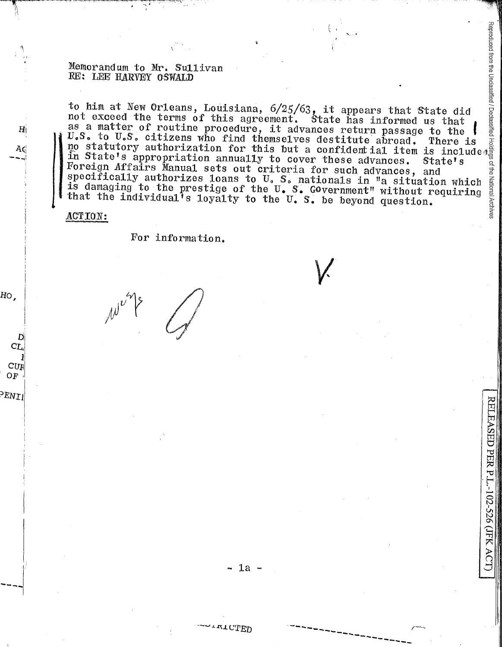Memorandum to Mr. Sullivan<br>
RE: LEE HARVEY OSWALD<br>
to him at New Orleans, Louisiana, 6/25/63, it appears that State did<br>
not exceed the terms of this agreement. State has informed us that<br>
as a matter of routine procedure, in State's appropriation annually to cover these advances. State's ğ Foreign Affairs Manual sets out criteria for such advances, and ₿ specifically authorizes loans to U.S. nationals in "a situation which National is damaging to the prestige of the U. S. Government" without requiring that the individual<sup>1</sup>s loyalty to the U.S. be beyond question.

## ACTION:

 $H<sub>||</sub>$ 

Ac

HO,

D. CL,

 $\mathbf{C}\mathbf{U}\mathbf{F}$  $OF$ 

PENII

For information.

+rtCTED

RELEASED PER P.L.-102-526 (JFK AC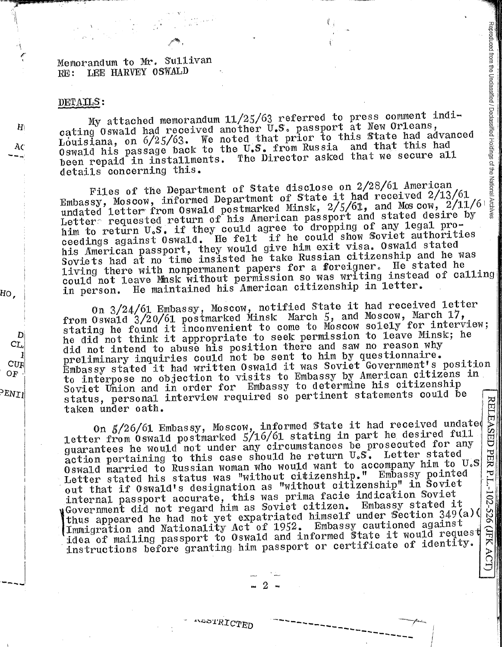## Memorandum to Mr. Sullivan LEE HARVEY OSWALD  $RE:$

## DETAILS:

 $H_1$ 

Ac

HO,

D

CL.

 $\mathrm{CU}_{\mathrm{F}}$ 

OF

PENIL

My attached memorandum 11/25/63 referred to press comment indicating Oswald had received another U.S. passport at New Orleans, Louislana, on 6/25/63. We noted that prior to this State had advanced Oswald his passage back to the U.S. from Russia and that this had The Director asked that we secure all been repaid in installments. details concerning this.

Reproduced from the Unclassified / Declassified Holdings of the National Files of the Department of State disclose on 2/28/61 American Embassy, Moscow, informed Department of State it had received 2/13/61 undated letter from Oswald postmarked Minsk, 2/5/61, and Moscow, 2/11/6 Letter requested return of his American passport and stated desire by him to return U.S. if they could agree to dropping of any legal proceedings against 0swald. He felt if he could show Soviet authorities his American passport, they would give him exit visa. Oswald stated<br>Soviets had at no time insisted he take Russian citizenship and he was living there with nonpermanent papers for a foreigner. He stated he could not leave Minsk without permission so was writing instead of calling in person. He maintained his American citizenship in letter.

On 3/24/61 Embassy, Moscow, notified State it had received letter from Oswald 3/20/61 postmarked Minsk March 5, and Moscow, March 17, stating he found it inconvenient to come to Moscow solely for interview; he did not think it appropriate to seek permission to leave Minsk; he did not intend to abuse his position there and saw no reason why preliminary inquiries could not be sent to him by questionnaire. Embassy stated it had written Oswald it was Soviet Government's position to interpose no objection to visits to Embassy by American citizens in Soviet Union and in order for Embassy to determine his citizenship status, personal interview required so pertinent statements could be **RELEASED** taken under oath.

On  $\frac{5}{26}$ /61 Embassy, Moscow, informed State it had received undated letter from Oswald postmarked  $\frac{5}{16}$ /61 stating in part he desired full quarantees he would not under any circumstances be prosecuted for any action pertaining to this case should he return U.S. Letter stated PER P.L.-102-526 Oswald married to Russian woman who would want to accompany him to U.S Letter stated his status was "without citizenship." Embassy pointed out that if Oswald's designation as "without citizenship" in Soviet internal passport accurate, this was prima facie indication Soviet yGovernment did not regard him as Soviet citizen. Embassy stated it thus appeared he had not yet expatriated himself under Section 349(a)( Immigration and Nationality Act of 1952. Embassy cautioned against (JFK ACT) idea of mailing passport to Oswald and informed state it would request instructions before granting him passport or certificate of identity.

ALOTRICTED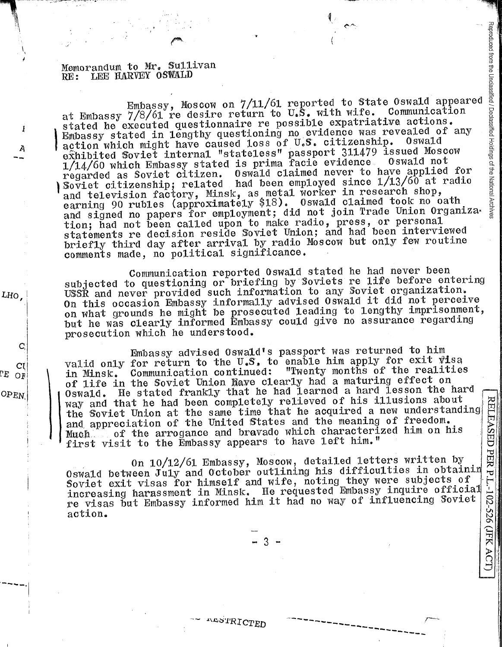Memorandum to Mr. Sullivan RE: LEE HARVEY OSWALD

I

À

LHO.

Cľ

ΓE  $O<sub>H</sub>$ 

OPEN

Embassy, Moscow on 7/11/61 reported to State Oswald appeared at Embassy 7/8/61 re desire return to U.S. with wife. Communication stated he executed questionnaire re possible expatriative actions. Embassy stated in lengthy questioning no evidence was revealed of any action which might have caused loss of U.S. citizenship. Oswald exhibited Soviet internal "stateless" passport 311479 issued Moscow 1/14/60 which Embassy stated is prima facie evidence. Oswald not regarded as Soviet citizen. Oswald claimed never to have applied for Soviet citizenship; related had been employed since 1/13/60 at radio and television factory, Minsk, as metal worker in research shop,<br>earning 90 rubles (approximately \$18). Oswald claimed took no oath and signed no papers for employment; did not join Trade Union Organization; had not been called upon to make radio, press, or personal statements re decision reside Soviet Union; and had been interviewed briefly third day after arrival by radio Moscow but only few routine comments made, no political significance.

Communication reported Oswald stated he had never been subjected to questioning or briefing by Soviets re life before entering USSŘ and never provided such information to any Soviet organization. On this occasion Embassy informally advised Oswald it did not perceive on what grounds he might be prosecuted leading to lengthy imprisonment, but he was clearly informed Embassy could give no assurance regarding prosecution which he understood.

Embassy advised Oswald's passport was returned to him valid only for return to the U.S. to enable him apply for exit visa Communication continued: "Twenty months of the realities in Minsk. of life in the Soviet Union have clearly had a maturing effect on Oswald. He stated frankly that he had learned a hard lesson the hard way and that he had been completely relieved of his illusions about the Soviet Union at the same time that he acquired a new understanding and appreciation of the United States and the meaning of freedom. of the arrogance and bravado which characterized him on his Much. first visit to the Embassy appears to have left him."

On 10/12/61 Embassy, Moscow, detailed letters written by Oswald between July and October outlining his difficulties in obtainin Soviet exit visas for himself and wife, noting they were subjects of increasing harassment in Minsk. He requested Embassy inquire official re visas but Embassy informed him it had no way of influencing Soviet action.

Reproduced from the Unclassified / Declassified Holdings of the National Archive

ALSTRICTED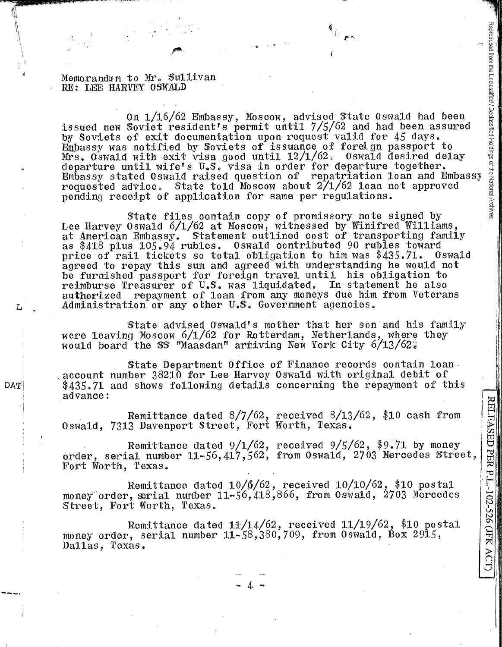Memorandum to Mr. Sullivan RE: LEE HARVEY OSWALD

DAT

On  $1/16/62$  Embassy, Moscow, advised State Oswald had been issued new Soviet resident's permit until  $7/5/62$  and had been assured by Soviets of exit documentation upon request valid for 45 days. Embassy was notified by Soviets of issuance of foreign passport to Mrs. Oswald with exit visa good until  $12/1/62$ . Oswald desired delay departure until wife's U.S. visa in order for departure together. Embassy stated Oswald raised question of repatriation loan and Embassy requested advice. State told Moscow about  $2/1/62$  loan not approved pending receipt of application for same per regulations. <sup>~</sup>

State files contain copy of promissory note signed by Lee Harvey Oswald  $6/1/62$  at Moscow, witnessed by Winifred Williams, at American Embassy. Statement outlined cost of transporting family as \$418 plus 105.94 rubles. Oswald contributed 90 rubles toward<br>price of rail tickets so total obligation to him was \$435.71. Oswald price of rail tickets so total obligation to him was  $$435.71$ . agreed to repay this sum and agreed with understanding he would not be furnished passport for foreign travel until his obligation to reimburse Treasurer of U.S. was liquidated. In statement he also authorized repayment of loan from any moneys due him from Veterans L Administration or any other U.S. Government agencies.

State advised Oswald's mother that her son and his family were leaving Moscow  $6/1/62$  for Rotterdam, Netherlands, where they would board the SS "Maasdam" arriving New York City  $6/13/62$ ;

State Department Office of Finance records contain 1oan account number 38210 for Lee Harvey Oswald with original debit of  $$435.71$  and shows following details concerning the repayment of this advance:

Remittance dated  $8/7/62$ , received  $8/13/62$ , \$10 cash from Oswald, 7313 Davenport Street, Fort Worth, Texas.

Remittance dated 9/1/62, received *9/5/62,* \$9.71 by money order, serial number  $11-56,417,562$ , from Oswald, 2703 Mercedes Street, Fort Worth, Texas.

Remittance dated 10/6/62, received 10/10/62, \$10 postal money order, serial number  $11-56, 418, 866$ , from Oswald, 2703 Mercedes Street, Fort Worth, Texas ..

Remittance dated 11/14/62, received 11/19/62, \$10 postal money order, serial number 11-58,380,709, from Oswald, Box 2915, Dallas, Texas.

... 4 ...

 $\mathsf{C}$ 

g.